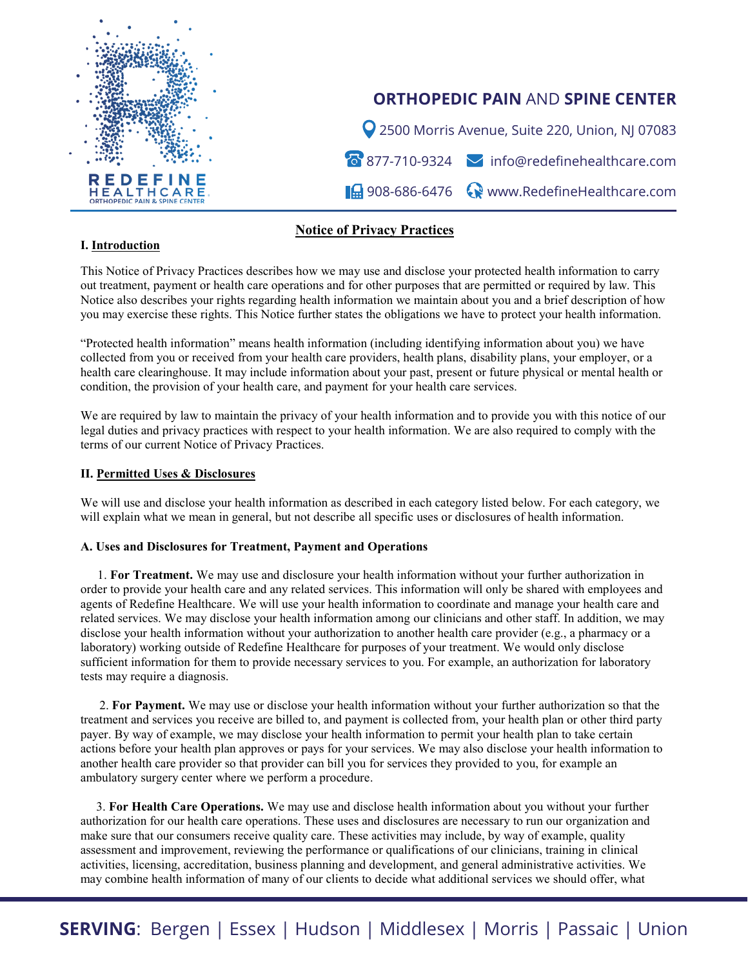

# **ORTHOPEDIC PAIN** AND **SPINE CENTER**

2500 Morris Avenue, Suite 220, Union, NJ 07083 877-710-9324 info@redefinehealthcare.com **14** 908-686-6476 Www.RedefineHealthcare.com

# **Notice of Privacy Practices**

#### **I. Introduction**

This Notice of Privacy Practices describes how we may use and disclose your protected health information to carry out treatment, payment or health care operations and for other purposes that are permitted or required by law. This Notice also describes your rights regarding health information we maintain about you and a brief description of how you may exercise these rights. This Notice further states the obligations we have to protect your health information.

"Protected health information" means health information (including identifying information about you) we have collected from you or received from your health care providers, health plans, disability plans, your employer, or a health care clearinghouse. It may include information about your past, present or future physical or mental health or condition, the provision of your health care, and payment for your health care services.

We are required by law to maintain the privacy of your health information and to provide you with this notice of our legal duties and privacy practices with respect to your health information. We are also required to comply with the terms of our current Notice of Privacy Practices.

#### **II. Permitted Uses & Disclosures**

We will use and disclose your health information as described in each category listed below. For each category, we will explain what we mean in general, but not describe all specific uses or disclosures of health information.

#### **A. Uses and Disclosures for Treatment, Payment and Operations**

1. **For Treatment.** We may use and disclosure your health information without your further authorization in order to provide your health care and any related services. This information will only be shared with employees and agents of Redefine Healthcare. We will use your health information to coordinate and manage your health care and related services. We may disclose your health information among our clinicians and other staff. In addition, we may disclose your health information without your authorization to another health care provider (e.g., a pharmacy or a laboratory) working outside of Redefine Healthcare for purposes of your treatment. We would only disclose sufficient information for them to provide necessary services to you. For example, an authorization for laboratory tests may require a diagnosis.

 2. **For Payment.** We may use or disclose your health information without your further authorization so that the treatment and services you receive are billed to, and payment is collected from, your health plan or other third party payer. By way of example, we may disclose your health information to permit your health plan to take certain actions before your health plan approves or pays for your services. We may also disclose your health information to another health care provider so that provider can bill you for services they provided to you, for example an ambulatory surgery center where we perform a procedure.

 3. **For Health Care Operations.** We may use and disclose health information about you without your further authorization for our health care operations. These uses and disclosures are necessary to run our organization and make sure that our consumers receive quality care. These activities may include, by way of example, quality assessment and improvement, reviewing the performance or qualifications of our clinicians, training in clinical activities, licensing, accreditation, business planning and development, and general administrative activities. We may combine health information of many of our clients to decide what additional services we should offer, what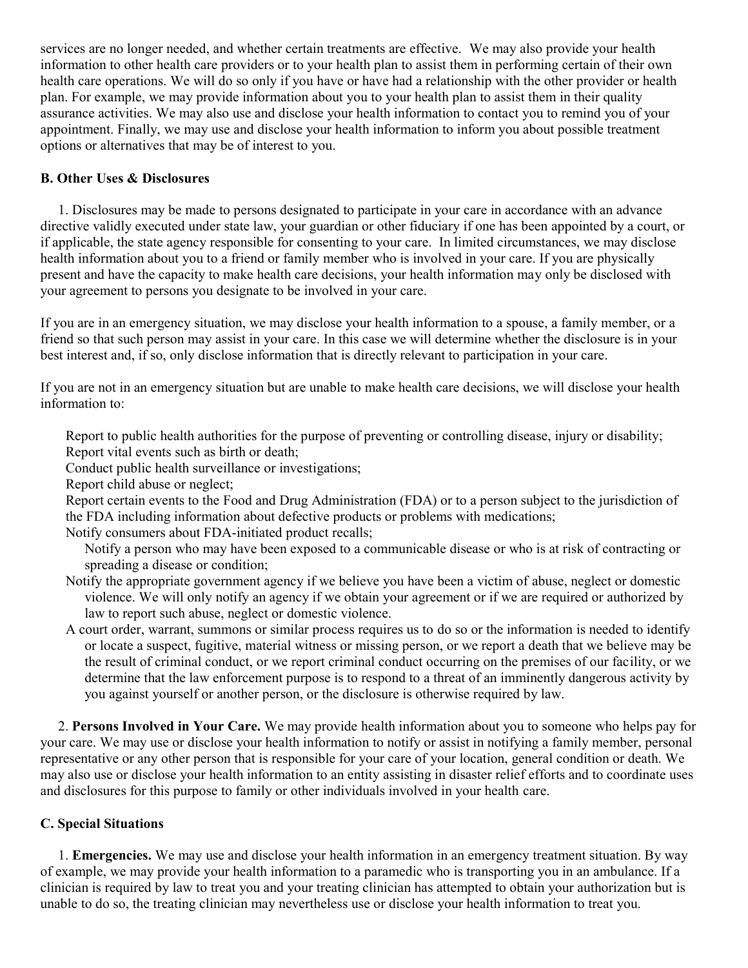services are no longer needed, and whether certain treatments are effective. We may also provide your health information to other health care providers or to your health plan to assist them in performing certain of their own health care operations. We will do so only if you have or have had a relationship with the other provider or health plan. For example, we may provide information about you to your health plan to assist them in their quality assurance activities. We may also use and disclose your health information to contact you to remind you of your appointment. Finally, we may use and disclose your health information to inform you about possible treatment options or alternatives that may be of interest to you.

# **B. Other Uses & Disclosures**

 1. Disclosures may be made to persons designated to participate in your care in accordance with an advance directive validly executed under state law, your guardian or other fiduciary if one has been appointed by a court, or if applicable, the state agency responsible for consenting to your care. In limited circumstances, we may disclose health information about you to a friend or family member who is involved in your care. If you are physically present and have the capacity to make health care decisions, your health information may only be disclosed with your agreement to persons you designate to be involved in your care.

If you are in an emergency situation, we may disclose your health information to a spouse, a family member, or a friend so that such person may assist in your care. In this case we will determine whether the disclosure is in your best interest and, if so, only disclose information that is directly relevant to participation in your care.

If you are not in an emergency situation but are unable to make health care decisions, we will disclose your health information to:

Report to public health authorities for the purpose of preventing or controlling disease, injury or disability; Report vital events such as birth or death;

Conduct public health surveillance or investigations;

Report child abuse or neglect;

Report certain events to the Food and Drug Administration (FDA) or to a person subject to the jurisdiction of the FDA including information about defective products or problems with medications;

Notify consumers about FDA-initiated product recalls;

Notify a person who may have been exposed to a communicable disease or who is at risk of contracting or spreading a disease or condition;

- Notify the appropriate government agency if we believe you have been a victim of abuse, neglect or domestic violence. We will only notify an agency if we obtain your agreement or if we are required or authorized by law to report such abuse, neglect or domestic violence.
- A court order, warrant, summons or similar process requires us to do so or the information is needed to identify or locate a suspect, fugitive, material witness or missing person, or we report a death that we believe may be the result of criminal conduct, or we report criminal conduct occurring on the premises of our facility, or we determine that the law enforcement purpose is to respond to a threat of an imminently dangerous activity by you against yourself or another person, or the disclosure is otherwise required by law.

 2. **Persons Involved in Your Care.** We may provide health information about you to someone who helps pay for your care. We may use or disclose your health information to notify or assist in notifying a family member, personal representative or any other person that is responsible for your care of your location, general condition or death. We may also use or disclose your health information to an entity assisting in disaster relief efforts and to coordinate uses and disclosures for this purpose to family or other individuals involved in your health care.

## **C. Special Situations**

 1. **Emergencies.** We may use and disclose your health information in an emergency treatment situation. By way of example, we may provide your health information to a paramedic who is transporting you in an ambulance. If a clinician is required by law to treat you and your treating clinician has attempted to obtain your authorization but is unable to do so, the treating clinician may nevertheless use or disclose your health information to treat you.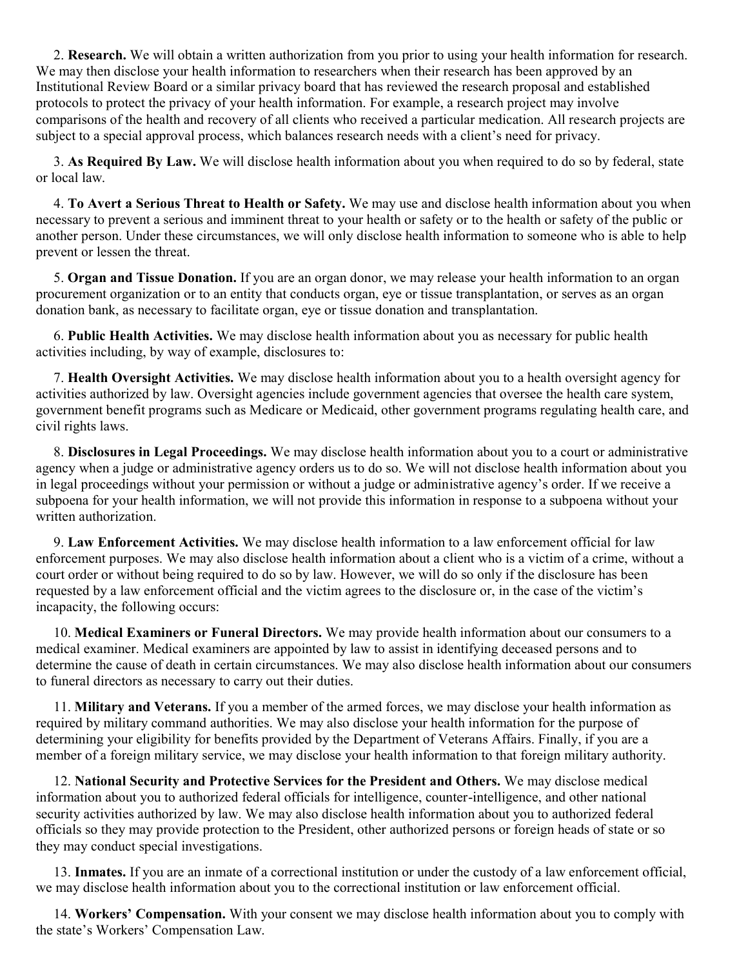2. **Research.** We will obtain a written authorization from you prior to using your health information for research. We may then disclose your health information to researchers when their research has been approved by an Institutional Review Board or a similar privacy board that has reviewed the research proposal and established protocols to protect the privacy of your health information. For example, a research project may involve comparisons of the health and recovery of all clients who received a particular medication. All research projects are subject to a special approval process, which balances research needs with a client's need for privacy.

 3. **As Required By Law.** We will disclose health information about you when required to do so by federal, state or local law.

 4. **To Avert a Serious Threat to Health or Safety.** We may use and disclose health information about you when necessary to prevent a serious and imminent threat to your health or safety or to the health or safety of the public or another person. Under these circumstances, we will only disclose health information to someone who is able to help prevent or lessen the threat.

 5. **Organ and Tissue Donation.** If you are an organ donor, we may release your health information to an organ procurement organization or to an entity that conducts organ, eye or tissue transplantation, or serves as an organ donation bank, as necessary to facilitate organ, eye or tissue donation and transplantation.

 6. **Public Health Activities.** We may disclose health information about you as necessary for public health activities including, by way of example, disclosures to:

 7. **Health Oversight Activities.** We may disclose health information about you to a health oversight agency for activities authorized by law. Oversight agencies include government agencies that oversee the health care system, government benefit programs such as Medicare or Medicaid, other government programs regulating health care, and civil rights laws.

 8. **Disclosures in Legal Proceedings.** We may disclose health information about you to a court or administrative agency when a judge or administrative agency orders us to do so. We will not disclose health information about you in legal proceedings without your permission or without a judge or administrative agency's order. If we receive a subpoena for your health information, we will not provide this information in response to a subpoena without your written authorization.

 9. **Law Enforcement Activities.** We may disclose health information to a law enforcement official for law enforcement purposes. We may also disclose health information about a client who is a victim of a crime, without a court order or without being required to do so by law. However, we will do so only if the disclosure has been requested by a law enforcement official and the victim agrees to the disclosure or, in the case of the victim's incapacity, the following occurs:

 10. **Medical Examiners or Funeral Directors.** We may provide health information about our consumers to a medical examiner. Medical examiners are appointed by law to assist in identifying deceased persons and to determine the cause of death in certain circumstances. We may also disclose health information about our consumers to funeral directors as necessary to carry out their duties.

 11. **Military and Veterans.** If you a member of the armed forces, we may disclose your health information as required by military command authorities. We may also disclose your health information for the purpose of determining your eligibility for benefits provided by the Department of Veterans Affairs. Finally, if you are a member of a foreign military service, we may disclose your health information to that foreign military authority.

 12. **National Security and Protective Services for the President and Others.** We may disclose medical information about you to authorized federal officials for intelligence, counter-intelligence, and other national security activities authorized by law. We may also disclose health information about you to authorized federal officials so they may provide protection to the President, other authorized persons or foreign heads of state or so they may conduct special investigations.

 13. **Inmates.** If you are an inmate of a correctional institution or under the custody of a law enforcement official, we may disclose health information about you to the correctional institution or law enforcement official.

 14. **Workers' Compensation.** With your consent we may disclose health information about you to comply with the state's Workers' Compensation Law.